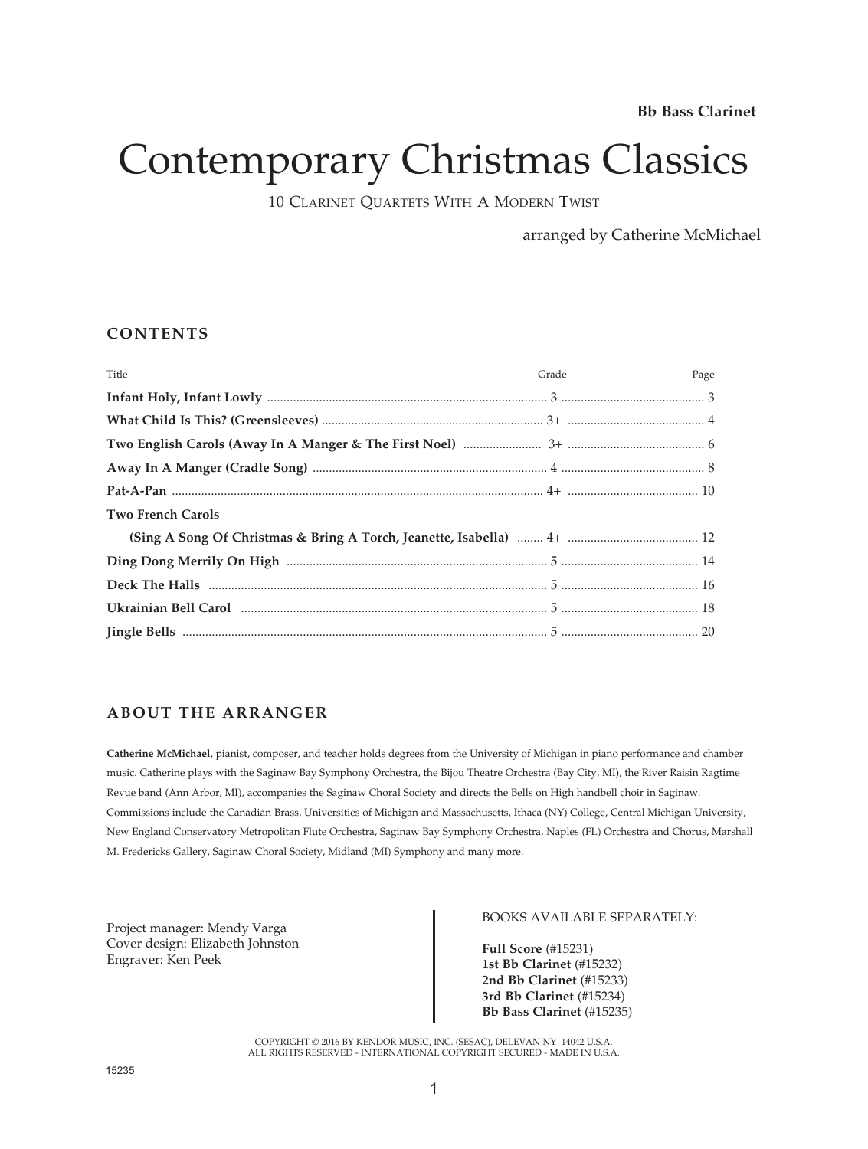# Contemporary Christmas Classics

10 CLARINET QUARTETS WITH A MODERN TWIST

arranged by Catherine McMichael

### **CONTENTS**

| Title                    | Grade<br>Page |
|--------------------------|---------------|
|                          |               |
|                          |               |
|                          |               |
|                          |               |
|                          |               |
| <b>Two French Carols</b> |               |
|                          |               |
|                          |               |
|                          |               |
|                          |               |
|                          |               |

### **ABOUT THE ARRANGER**

**Catherine McMichael**, pianist, composer, and teacher holds degrees from the University of Michigan in piano performance and chamber music. Catherine plays with the Saginaw Bay Symphony Orchestra, the Bijou Theatre Orchestra (Bay City, MI), the River Raisin Ragtime Revue band (Ann Arbor, MI), accompanies the Saginaw Choral Society and directs the Bells on High handbell choir in Saginaw. Commissions include the Canadian Brass, Universities of Michigan and Massachusetts, Ithaca (NY) College, Central Michigan University, New England Conservatory Metropolitan Flute Orchestra, Saginaw Bay Symphony Orchestra, Naples (FL) Orchestra and Chorus, Marshall M. Fredericks Gallery, Saginaw Choral Society, Midland (MI) Symphony and many more.

Project manager: Mendy Varga Cover design: Elizabeth Johnston Engraver: Ken Peek

#### BOOKS AVAILABLE SEPARATELY:

**Full Score** (#15231) **1st Bb Clarinet** (#15232) **2nd Bb Clarinet** (#15233) **3rd Bb Clarinet** (#15234) **Bb Bass Clarinet** (#15235)

COPYRIGHT © 2016 BY KENDOR MUSIC, INC. (SESAC), DELEVAN NY 14042 U.S.A. ALL RIGHTS RESERVED - INTERNATIONAL COPYRIGHT SECURED - MADE IN U.S.A.